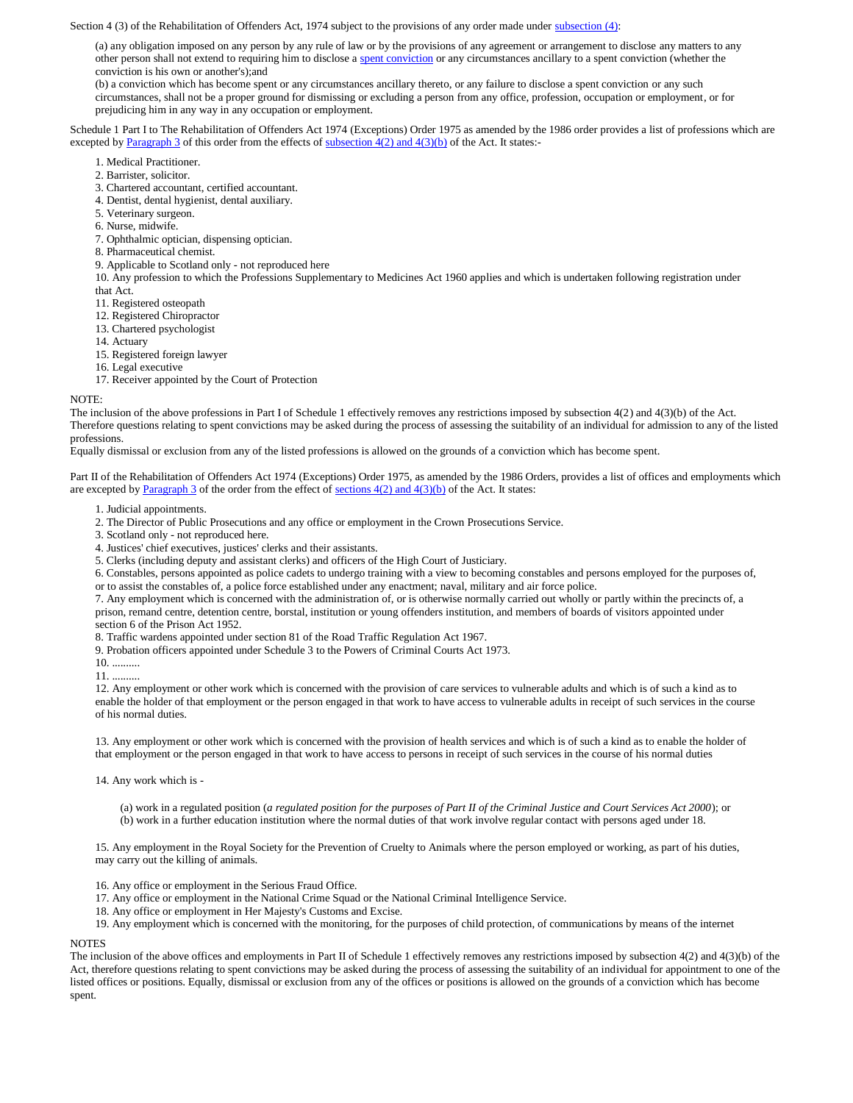Section 4 (3) of the Rehabilitation of Offenders Act, 1974 subject to the provisions of any order made unde[r subsection \(4\):](file:///C:/Documents%20and%20Settings/cid.clerk/Local%20Settings/Temporary%20Internet%20Files/Content.Outlook/AppData/Local/Microsoft/Windows/Temporary%20Internet%20Files/Content.Outlook/WR9R6PV5/D1006.htm)

(a) any obligation imposed on any person by any rule of law or by the provisions of any agreement or arrangement to disclose any matters to any other person shall not extend to requiring him to disclose [a spent conviction](file:///C:/Documents%20and%20Settings/cid.clerk/Local%20Settings/Temporary%20Internet%20Files/Content.Outlook/AppData/Local/Microsoft/Windows/Temporary%20Internet%20Files/Content.Outlook/WR9R6PV5/D1002.htm) or any circumstances ancillary to a spent conviction (whether the conviction is his own or another's);and

(b) a conviction which has become spent or any circumstances ancillary thereto, or any failure to disclose a spent conviction or any such circumstances, shall not be a proper ground for dismissing or excluding a person from any office, profession, occupation or employment, or for prejudicing him in any way in any occupation or employment.

Schedule 1 Part I to The Rehabilitation of Offenders Act 1974 (Exceptions) Order 1975 as amended by the 1986 order provides a list of professions which are excepted by [Paragraph 3](file:///C:/Documents%20and%20Settings/cid.clerk/Local%20Settings/Temporary%20Internet%20Files/Content.Outlook/AppData/Local/Microsoft/Windows/Temporary%20Internet%20Files/Content.Outlook/WR9R6PV5/D1017.htm) of this order from the effects of subsection  $4(2)$  and  $4(3)(b)$  of the Act. It states:-

- 1. Medical Practitioner.
- 2. Barrister, solicitor.
- 3. Chartered accountant, certified accountant.
- 4. Dentist, dental hygienist, dental auxiliary.
- 5. Veterinary surgeon.
- 6. Nurse, midwife.
- 7. Ophthalmic optician, dispensing optician.
- 8. Pharmaceutical chemist.
- 9. Applicable to Scotland only not reproduced here

10. Any profession to which the Professions Supplementary to Medicines Act 1960 applies and which is undertaken following registration under that Act.

- 11. Registered osteopath
- 12. Registered Chiropractor
- 13. Chartered psychologist
- 14. Actuary
- 15. Registered foreign lawyer
- 16. Legal executive
- 17. Receiver appointed by the Court of Protection

### NOTE:

The inclusion of the above professions in Part I of Schedule 1 effectively removes any restrictions imposed by subsection 4(2) and 4(3)(b) of the Act. Therefore questions relating to spent convictions may be asked during the process of assessing the suitability of an individual for admission to any of the listed professions.

Equally dismissal or exclusion from any of the listed professions is allowed on the grounds of a conviction which has become spent.

Part II of the Rehabilitation of Offenders Act 1974 (Exceptions) Order 1975, as amended by the 1986 Orders, provides a list of offices and employments which are excepted b[y Paragraph 3](file:///C:/Documents%20and%20Settings/cid.clerk/Local%20Settings/Temporary%20Internet%20Files/Content.Outlook/AppData/Local/Microsoft/Windows/Temporary%20Internet%20Files/Content.Outlook/WR9R6PV5/D1017.htm) of the order from the effect of sections  $4(2)$  and  $4(3)(b)$  of the Act. It states:

- 1. Judicial appointments.
- 2. The Director of Public Prosecutions and any office or employment in the Crown Prosecutions Service.
- 3. Scotland only not reproduced here.
- 4. Justices' chief executives, justices' clerks and their assistants.
- 5. Clerks (including deputy and assistant clerks) and officers of the High Court of Justiciary.

6. Constables, persons appointed as police cadets to undergo training with a view to becoming constables and persons employed for the purposes of, or to assist the constables of, a police force established under any enactment; naval, military and air force police.

7. Any employment which is concerned with the administration of, or is otherwise normally carried out wholly or partly within the precincts of, a prison, remand centre, detention centre, borstal, institution or young offenders institution, and members of boards of visitors appointed under section 6 of the Prison Act 1952.

8. Traffic wardens appointed under section 81 of the Road Traffic Regulation Act 1967.

9. Probation officers appointed under Schedule 3 to the Powers of Criminal Courts Act 1973.

10. ..........

11. ..........

12. Any employment or other work which is concerned with the provision of care services to vulnerable adults and which is of such a kind as to enable the holder of that employment or the person engaged in that work to have access to vulnerable adults in receipt of such services in the course of his normal duties.

13. Any employment or other work which is concerned with the provision of health services and which is of such a kind as to enable the holder of that employment or the person engaged in that work to have access to persons in receipt of such services in the course of his normal duties

14. Any work which is -

(a) work in a regulated position (*a regulated position for the purposes of Part II of the Criminal Justice and Court Services Act 2000*); or (b) work in a further education institution where the normal duties of that work involve regular contact with persons aged under 18.

15. Any employment in the Royal Society for the Prevention of Cruelty to Animals where the person employed or working, as part of his duties, may carry out the killing of animals.

16. Any office or employment in the Serious Fraud Office.

- 17. Any office or employment in the National Crime Squad or the National Criminal Intelligence Service.
- 18. Any office or employment in Her Majesty's Customs and Excise.
- 19. Any employment which is concerned with the monitoring, for the purposes of child protection, of communications by means of the internet

### **NOTES**

The inclusion of the above offices and employments in Part II of Schedule 1 effectively removes any restrictions imposed by subsection 4(2) and 4(3)(b) of the Act, therefore questions relating to spent convictions may be asked during the process of assessing the suitability of an individual for appointment to one of the listed offices or positions. Equally, dismissal or exclusion from any of the offices or positions is allowed on the grounds of a conviction which has become spent.